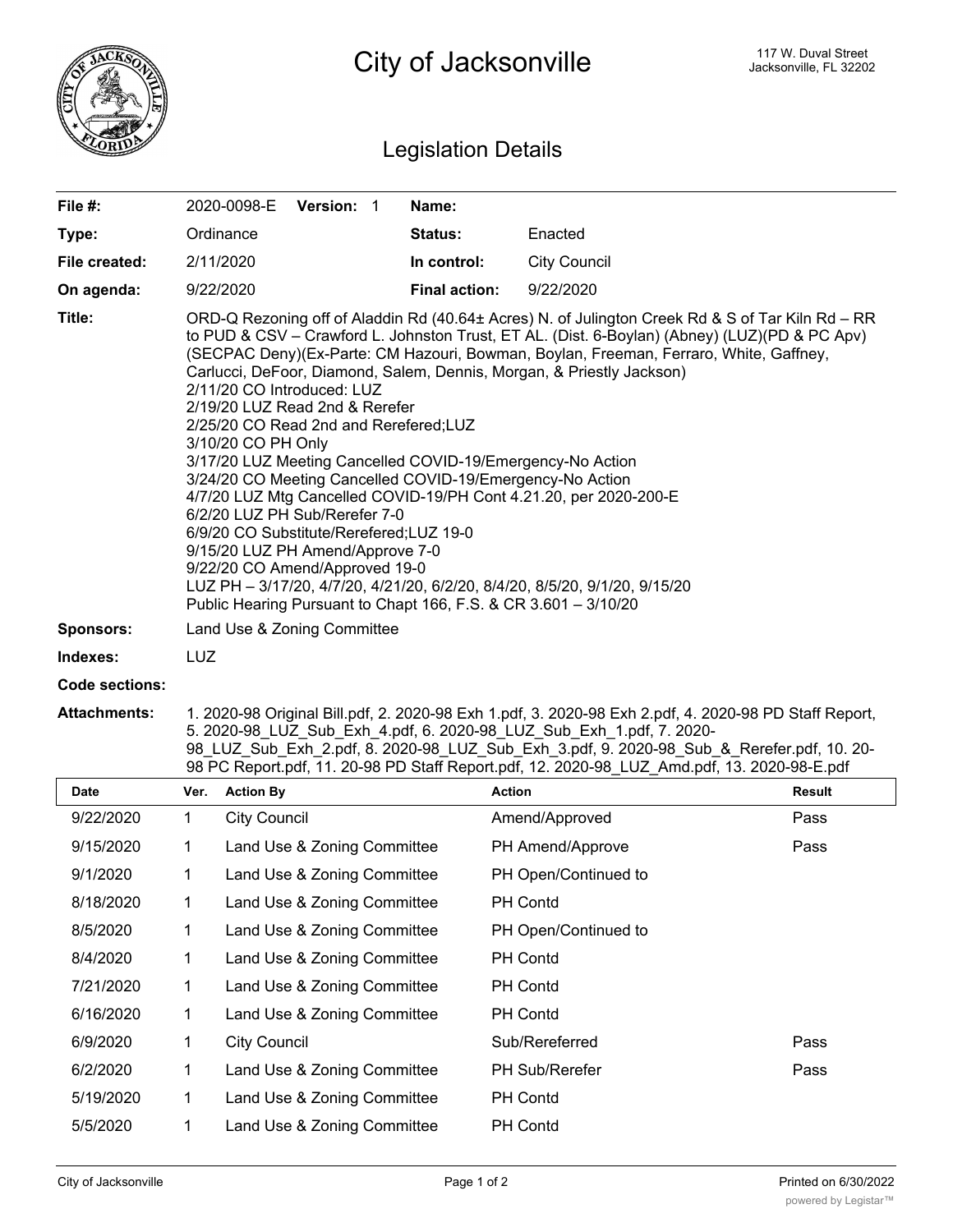

## Legislation Details

| File #:             |                                                                                                                                                                                                                                                                                                                                                                                                                                                                                                                                                                                                                                                                                                                                                                                                                                                                                                                                                                                                        | 2020-0098-E         | <b>Version: 1</b> |  | Name:                |                     |               |
|---------------------|--------------------------------------------------------------------------------------------------------------------------------------------------------------------------------------------------------------------------------------------------------------------------------------------------------------------------------------------------------------------------------------------------------------------------------------------------------------------------------------------------------------------------------------------------------------------------------------------------------------------------------------------------------------------------------------------------------------------------------------------------------------------------------------------------------------------------------------------------------------------------------------------------------------------------------------------------------------------------------------------------------|---------------------|-------------------|--|----------------------|---------------------|---------------|
| Type:               |                                                                                                                                                                                                                                                                                                                                                                                                                                                                                                                                                                                                                                                                                                                                                                                                                                                                                                                                                                                                        | Ordinance           |                   |  | Status:              | Enacted             |               |
| File created:       |                                                                                                                                                                                                                                                                                                                                                                                                                                                                                                                                                                                                                                                                                                                                                                                                                                                                                                                                                                                                        | 2/11/2020           |                   |  | In control:          | <b>City Council</b> |               |
| On agenda:          |                                                                                                                                                                                                                                                                                                                                                                                                                                                                                                                                                                                                                                                                                                                                                                                                                                                                                                                                                                                                        | 9/22/2020           |                   |  | <b>Final action:</b> | 9/22/2020           |               |
| Title:              | ORD-Q Rezoning off of Aladdin Rd (40.64± Acres) N. of Julington Creek Rd & S of Tar Kiln Rd - RR<br>to PUD & CSV – Crawford L. Johnston Trust, ET AL. (Dist. 6-Boylan) (Abney) (LUZ)(PD & PC Apv)<br>(SECPAC Deny)(Ex-Parte: CM Hazouri, Bowman, Boylan, Freeman, Ferraro, White, Gaffney,<br>Carlucci, DeFoor, Diamond, Salem, Dennis, Morgan, & Priestly Jackson)<br>2/11/20 CO Introduced: LUZ<br>2/19/20 LUZ Read 2nd & Rerefer<br>2/25/20 CO Read 2nd and Rerefered; LUZ<br>3/10/20 CO PH Only<br>3/17/20 LUZ Meeting Cancelled COVID-19/Emergency-No Action<br>3/24/20 CO Meeting Cancelled COVID-19/Emergency-No Action<br>4/7/20 LUZ Mtg Cancelled COVID-19/PH Cont 4.21.20, per 2020-200-E<br>6/2/20 LUZ PH Sub/Rerefer 7-0<br>6/9/20 CO Substitute/Rerefered;LUZ 19-0<br>9/15/20 LUZ PH Amend/Approve 7-0<br>9/22/20 CO Amend/Approved 19-0<br>LUZ PH - 3/17/20, 4/7/20, 4/21/20, 6/2/20, 8/4/20, 8/5/20, 9/1/20, 9/15/20<br>Public Hearing Pursuant to Chapt 166, F.S. & CR 3.601 - 3/10/20 |                     |                   |  |                      |                     |               |
| <b>Sponsors:</b>    | Land Use & Zoning Committee                                                                                                                                                                                                                                                                                                                                                                                                                                                                                                                                                                                                                                                                                                                                                                                                                                                                                                                                                                            |                     |                   |  |                      |                     |               |
| Indexes:            | <b>LUZ</b>                                                                                                                                                                                                                                                                                                                                                                                                                                                                                                                                                                                                                                                                                                                                                                                                                                                                                                                                                                                             |                     |                   |  |                      |                     |               |
| Code sections:      |                                                                                                                                                                                                                                                                                                                                                                                                                                                                                                                                                                                                                                                                                                                                                                                                                                                                                                                                                                                                        |                     |                   |  |                      |                     |               |
| <b>Attachments:</b> | 1. 2020-98 Original Bill.pdf, 2. 2020-98 Exh 1.pdf, 3. 2020-98 Exh 2.pdf, 4. 2020-98 PD Staff Report,<br>5. 2020-98 LUZ Sub Exh 4.pdf, 6. 2020-98 LUZ Sub Exh 1.pdf, 7. 2020-<br>98 LUZ Sub Exh 2.pdf, 8. 2020-98 LUZ Sub Exh 3.pdf, 9. 2020-98 Sub & Rerefer.pdf, 10. 20-<br>98 PC Report.pdf, 11. 20-98 PD Staff Report.pdf, 12. 2020-98 LUZ Amd.pdf, 13. 2020-98-E.pdf                                                                                                                                                                                                                                                                                                                                                                                                                                                                                                                                                                                                                              |                     |                   |  |                      |                     |               |
| <b>Date</b>         | Ver.                                                                                                                                                                                                                                                                                                                                                                                                                                                                                                                                                                                                                                                                                                                                                                                                                                                                                                                                                                                                   | <b>Action By</b>    |                   |  | <b>Action</b>        |                     | <b>Result</b> |
| 9/22/2020           | 1                                                                                                                                                                                                                                                                                                                                                                                                                                                                                                                                                                                                                                                                                                                                                                                                                                                                                                                                                                                                      | <b>City Council</b> |                   |  |                      | Amend/Approved      | Pass          |

| 9/22/2020 | 1  | <b>City Council</b>         | Amend/Approved        | Pass |
|-----------|----|-----------------------------|-----------------------|------|
| 9/15/2020 | 1  | Land Use & Zoning Committee | PH Amend/Approve      | Pass |
| 9/1/2020  | 1  | Land Use & Zoning Committee | PH Open/Continued to  |      |
| 8/18/2020 | 1. | Land Use & Zoning Committee | <b>PH Contd</b>       |      |
| 8/5/2020  | 1  | Land Use & Zoning Committee | PH Open/Continued to  |      |
| 8/4/2020  | 1  | Land Use & Zoning Committee | <b>PH Contd</b>       |      |
| 7/21/2020 | 1  | Land Use & Zoning Committee | <b>PH Contd</b>       |      |
| 6/16/2020 | 1  | Land Use & Zoning Committee | <b>PH Contd</b>       |      |
| 6/9/2020  | 1  | <b>City Council</b>         | Sub/Rereferred        | Pass |
| 6/2/2020  | 1  | Land Use & Zoning Committee | <b>PH Sub/Rerefer</b> | Pass |
| 5/19/2020 | 1  | Land Use & Zoning Committee | <b>PH Contd</b>       |      |
| 5/5/2020  | 1  | Land Use & Zoning Committee | <b>PH Contd</b>       |      |
|           |    |                             |                       |      |